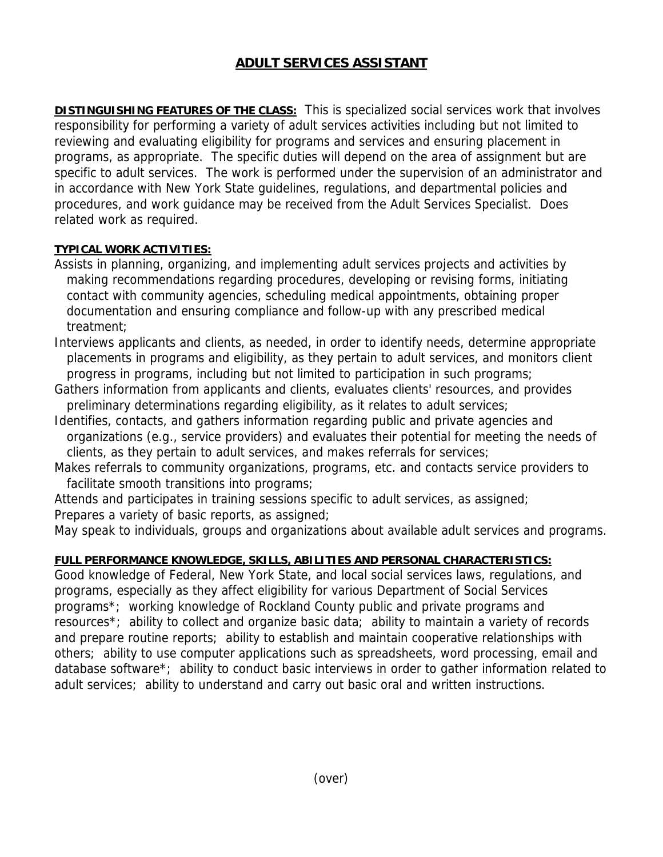## **ADULT SERVICES ASSISTANT**

**DISTINGUISHING FEATURES OF THE CLASS:** This is specialized social services work that involves responsibility for performing a variety of adult services activities including but not limited to reviewing and evaluating eligibility for programs and services and ensuring placement in programs, as appropriate. The specific duties will depend on the area of assignment but are specific to adult services. The work is performed under the supervision of an administrator and in accordance with New York State guidelines, regulations, and departmental policies and procedures, and work guidance may be received from the Adult Services Specialist. Does related work as required.

## **TYPICAL WORK ACTIVITIES:**

- Assists in planning, organizing, and implementing adult services projects and activities by making recommendations regarding procedures, developing or revising forms, initiating contact with community agencies, scheduling medical appointments, obtaining proper documentation and ensuring compliance and follow-up with any prescribed medical treatment;
- Interviews applicants and clients, as needed, in order to identify needs, determine appropriate placements in programs and eligibility, as they pertain to adult services, and monitors client progress in programs, including but not limited to participation in such programs;
- Gathers information from applicants and clients, evaluates clients' resources, and provides preliminary determinations regarding eligibility, as it relates to adult services;
- Identifies, contacts, and gathers information regarding public and private agencies and organizations (e.g., service providers) and evaluates their potential for meeting the needs of clients, as they pertain to adult services, and makes referrals for services;
- Makes referrals to community organizations, programs, etc. and contacts service providers to facilitate smooth transitions into programs;

Attends and participates in training sessions specific to adult services, as assigned; Prepares a variety of basic reports, as assigned;

May speak to individuals, groups and organizations about available adult services and programs.

## **FULL PERFORMANCE KNOWLEDGE, SKILLS, ABILITIES AND PERSONAL CHARACTERISTICS:**

Good knowledge of Federal, New York State, and local social services laws, regulations, and programs, especially as they affect eligibility for various Department of Social Services programs\*; working knowledge of Rockland County public and private programs and resources\*; ability to collect and organize basic data; ability to maintain a variety of records and prepare routine reports; ability to establish and maintain cooperative relationships with others; ability to use computer applications such as spreadsheets, word processing, email and database software\*; ability to conduct basic interviews in order to gather information related to adult services; ability to understand and carry out basic oral and written instructions.